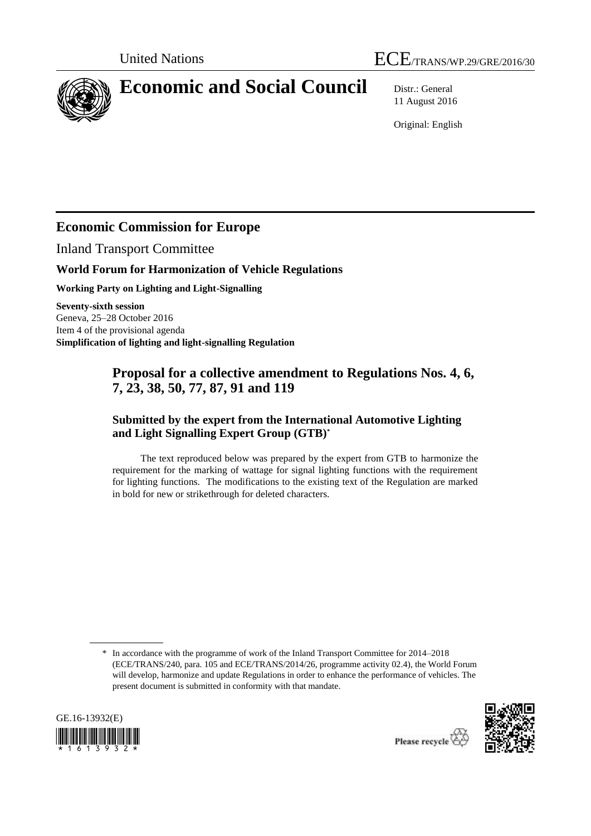

# **Economic and Social Council** Distr.: General

11 August 2016

Original: English

# **Economic Commission for Europe**

Inland Transport Committee

## **World Forum for Harmonization of Vehicle Regulations**

**Working Party on Lighting and Light-Signalling**

**Seventy-sixth session** Geneva, 25–28 October 2016 Item 4 of the provisional agenda **Simplification of lighting and light-signalling Regulation**

# **Proposal for a collective amendment to Regulations Nos. 4, 6, 7, 23, 38, 50, 77, 87, 91 and 119**

## **Submitted by the expert from the International Automotive Lighting and Light Signalling Expert Group (GTB)\***

The text reproduced below was prepared by the expert from GTB to harmonize the requirement for the marking of wattage for signal lighting functions with the requirement for lighting functions. The modifications to the existing text of the Regulation are marked in bold for new or strikethrough for deleted characters.

<sup>\*</sup> In accordance with the programme of work of the Inland Transport Committee for 2014–2018 (ECE/TRANS/240, para. 105 and ECE/TRANS/2014/26, programme activity 02.4), the World Forum will develop, harmonize and update Regulations in order to enhance the performance of vehicles. The present document is submitted in conformity with that mandate.



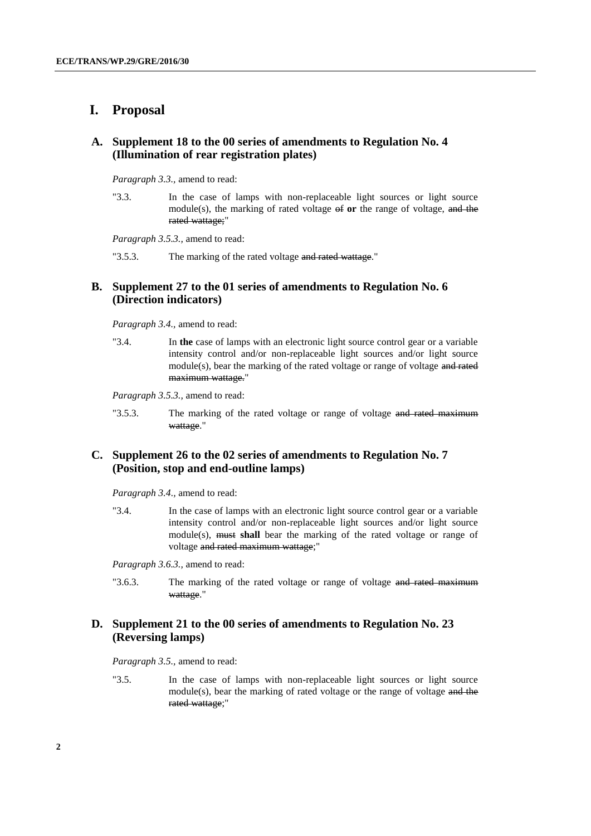#### **I. Proposal**

#### **A. Supplement 18 to the 00 series of amendments to Regulation No. 4 (Illumination of rear registration plates)**

*Paragraph 3.3.,* amend to read:

"3.3. In the case of lamps with non-replaceable light sources or light source module(s), the marking of rated voltage of **or** the range of voltage, and the rated wattage;"

*Paragraph 3.5.3.,* amend to read:

"3.5.3. The marking of the rated voltage and rated wattage."

#### **B. Supplement 27 to the 01 series of amendments to Regulation No. 6 (Direction indicators)**

*Paragraph 3.4.,* amend to read:

"3.4. In **the** case of lamps with an electronic light source control gear or a variable intensity control and/or non-replaceable light sources and/or light source module(s), bear the marking of the rated voltage or range of voltage and rated maximum wattage."

*Paragraph 3.5.3.,* amend to read:

"3.5.3. The marking of the rated voltage or range of voltage and rated maximum wattage."

#### **C. Supplement 26 to the 02 series of amendments to Regulation No. 7 (Position, stop and end-outline lamps)**

*Paragraph 3.4.,* amend to read:

"3.4. In the case of lamps with an electronic light source control gear or a variable intensity control and/or non-replaceable light sources and/or light source module(s), must **shall** bear the marking of the rated voltage or range of voltage and rated maximum wattage;"

*Paragraph 3.6.3.,* amend to read:

"3.6.3. The marking of the rated voltage or range of voltage and rated maximum wattage."

#### **D. Supplement 21 to the 00 series of amendments to Regulation No. 23 (Reversing lamps)**

*Paragraph 3.5.,* amend to read:

"3.5. In the case of lamps with non-replaceable light sources or light source module(s), bear the marking of rated voltage or the range of voltage and the rated wattage;"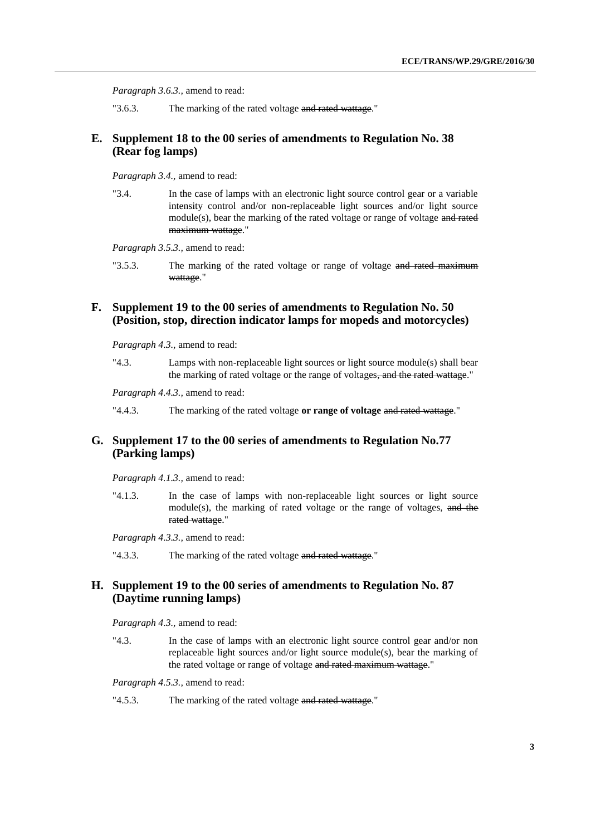*Paragraph 3.6.3.,* amend to read:

"3.6.3. The marking of the rated voltage and rated wattage."

#### **E. Supplement 18 to the 00 series of amendments to Regulation No. 38 (Rear fog lamps)**

*Paragraph 3.4.,* amend to read:

"3.4. In the case of lamps with an electronic light source control gear or a variable intensity control and/or non-replaceable light sources and/or light source module(s), bear the marking of the rated voltage or range of voltage and rated maximum wattage."

*Paragraph 3.5.3.,* amend to read:

"3.5.3. The marking of the rated voltage or range of voltage and rated maximum wattage."

#### **F. Supplement 19 to the 00 series of amendments to Regulation No. 50 (Position, stop, direction indicator lamps for mopeds and motorcycles)**

*Paragraph 4.3.,* amend to read:

"4.3. Lamps with non-replaceable light sources or light source module(s) shall bear the marking of rated voltage or the range of voltages, and the rated wattage."

*Paragraph 4.4.3.,* amend to read:

"4.4.3. The marking of the rated voltage or range of voltage and rated wattage."

#### **G. Supplement 17 to the 00 series of amendments to Regulation No.77 (Parking lamps)**

*Paragraph 4.1.3.,* amend to read:

"4.1.3. In the case of lamps with non-replaceable light sources or light source module(s), the marking of rated voltage or the range of voltages, and the rated wattage."

*Paragraph 4.3.3.,* amend to read:

"4.3.3. The marking of the rated voltage and rated wattage."

#### **H. Supplement 19 to the 00 series of amendments to Regulation No. 87 (Daytime running lamps)**

*Paragraph 4.3.,* amend to read:

"4.3. In the case of lamps with an electronic light source control gear and/or non replaceable light sources and/or light source module(s), bear the marking of the rated voltage or range of voltage and rated maximum wattage."

*Paragraph 4.5.3.,* amend to read:

"4.5.3. The marking of the rated voltage and rated wattage."